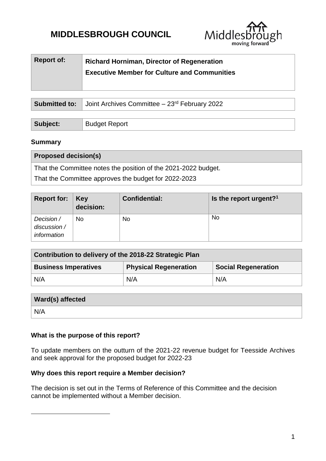# **MIDDLESBROUGH COUNCIL**



| <b>Report of:</b> | <b>Richard Horniman, Director of Regeneration</b><br><b>Executive Member for Culture and Communities</b> |
|-------------------|----------------------------------------------------------------------------------------------------------|
|                   |                                                                                                          |

|          | <b>Submitted to:</b> Joint Archives Committee $-23$ <sup>rd</sup> February 2022 |  |  |
|----------|---------------------------------------------------------------------------------|--|--|
|          |                                                                                 |  |  |
| Subject: | <b>Budget Report</b>                                                            |  |  |

#### **Summary**

1

| <b>Proposed decision(s)</b>                                    |
|----------------------------------------------------------------|
| That the Committee notes the position of the 2021-2022 budget. |
| That the Committee approves the budget for 2022-2023           |
|                                                                |

| Report for: $\ $                          | Key<br>decision: | <b>Confidential:</b> | Is the report urgent? <sup>1</sup> |
|-------------------------------------------|------------------|----------------------|------------------------------------|
| Decision /<br>discussion /<br>information | No               | No                   | No                                 |

| Contribution to delivery of the 2018-22 Strategic Plan |                              |                            |  |  |  |  |
|--------------------------------------------------------|------------------------------|----------------------------|--|--|--|--|
| <b>Business Imperatives</b>                            | <b>Physical Regeneration</b> | <b>Social Regeneration</b> |  |  |  |  |
| N/A                                                    | N/A                          | N/A                        |  |  |  |  |

| <b>Ward(s) affected</b> |  |
|-------------------------|--|
| $^{\dagger}$ N/A        |  |

## **What is the purpose of this report?**

To update members on the outturn of the 2021-22 revenue budget for Teesside Archives and seek approval for the proposed budget for 2022-23

#### **Why does this report require a Member decision?**

The decision is set out in the Terms of Reference of this Committee and the decision cannot be implemented without a Member decision.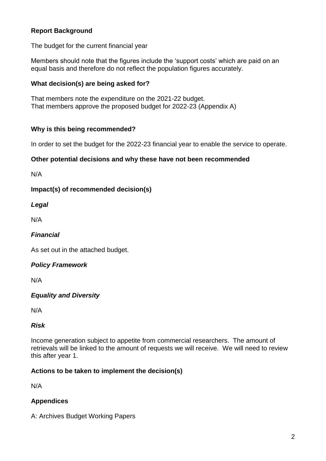## **Report Background**

The budget for the current financial year

Members should note that the figures include the 'support costs' which are paid on an equal basis and therefore do not reflect the population figures accurately.

## **What decision(s) are being asked for?**

That members note the expenditure on the 2021-22 budget. That members approve the proposed budget for 2022-23 (Appendix A)

#### **Why is this being recommended?**

In order to set the budget for the 2022-23 financial year to enable the service to operate.

#### **Other potential decisions and why these have not been recommended**

N/A

**Impact(s) of recommended decision(s)**

#### *Legal*

N/A

### *Financial*

As set out in the attached budget.

## *Policy Framework*

N/A

## *Equality and Diversity*

N/A

## *Risk*

Income generation subject to appetite from commercial researchers. The amount of retrievals will be linked to the amount of requests we will receive. We will need to review this after year 1.

#### **Actions to be taken to implement the decision(s)**

N/A

## **Appendices**

A: Archives Budget Working Papers